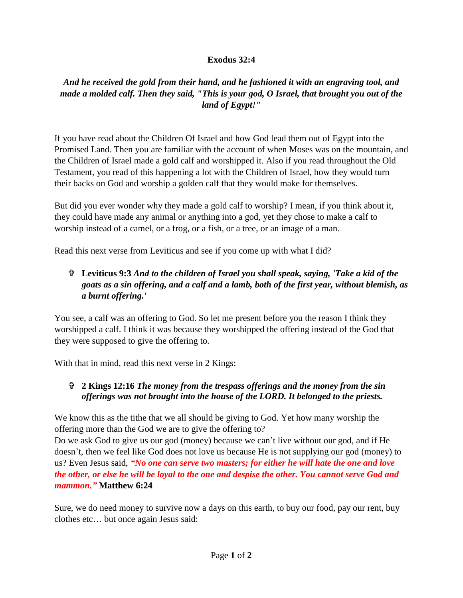## **Exodus 32:4**

## *And he received the gold from their hand, and he fashioned it with an engraving tool, and made a molded calf. Then they said, "This is your god, O Israel, that brought you out of the land of Egypt!"*

If you have read about the Children Of Israel and how God lead them out of Egypt into the Promised Land. Then you are familiar with the account of when Moses was on the mountain, and the Children of Israel made a gold calf and worshipped it. Also if you read throughout the Old Testament, you read of this happening a lot with the Children of Israel, how they would turn their backs on God and worship a golden calf that they would make for themselves.

But did you ever wonder why they made a gold calf to worship? I mean, if you think about it, they could have made any animal or anything into a god, yet they chose to make a calf to worship instead of a camel, or a frog, or a fish, or a tree, or an image of a man.

Read this next verse from Leviticus and see if you come up with what I did?

## **Leviticus 9:3** *And to the children of Israel you shall speak, saying, 'Take a kid of the goats as a sin offering, and a calf and a lamb, both of the first year, without blemish, as a burnt offering.'*

You see, a calf was an offering to God. So let me present before you the reason I think they worshipped a calf. I think it was because they worshipped the offering instead of the God that they were supposed to give the offering to.

With that in mind, read this next verse in 2 Kings:

## **2 Kings 12:16** *The money from the trespass offerings and the money from the sin offerings was not brought into the house of the LORD. It belonged to the priests.*

We know this as the tithe that we all should be giving to God. Yet how many worship the offering more than the God we are to give the offering to?

Do we ask God to give us our god (money) because we can't live without our god, and if He doesn't, then we feel like God does not love us because He is not supplying our god (money) to us? Even Jesus said, *"No one can serve two masters; for either he will hate the one and love the other, or else he will be loyal to the one and despise the other. You cannot serve God and mammon."* **Matthew 6:24**

Sure, we do need money to survive now a days on this earth, to buy our food, pay our rent, buy clothes etc… but once again Jesus said: